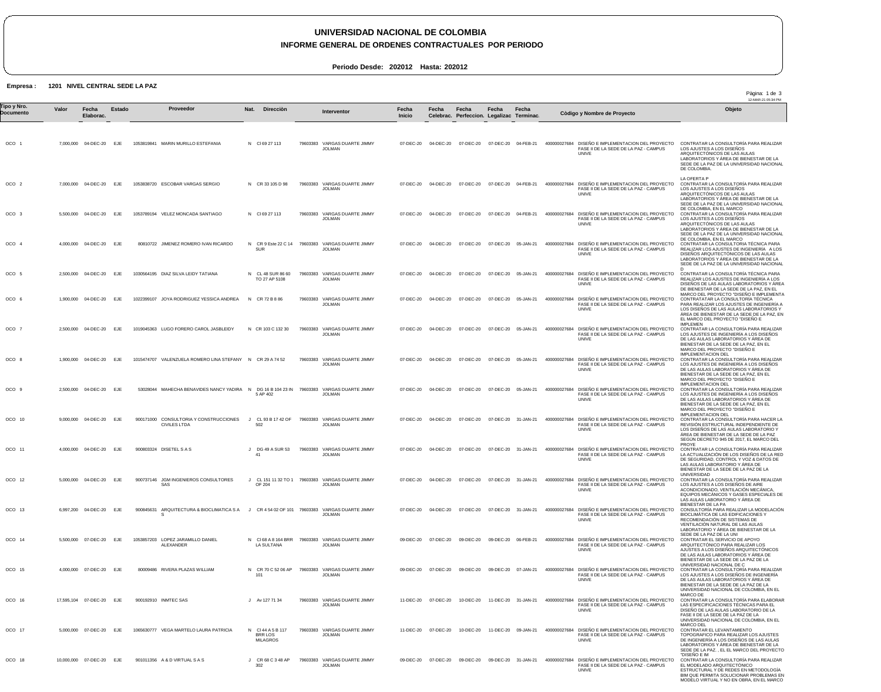## **UNIVERSIDAD NACIONAL DE COLOMBIA**

## **INFORME GENERAL DE ORDENES CONTRACTUALES POR PERIODO**

**Periodo Desde: 202012 Hasta: 202012**

**Empresa : 1201 NIVEL CENTRAL SEDE LA PAZ**

|                          |       |                         |            |                                                                                                        |                                                           |           |          |                                                                   |                        |                     |                                                    |                     |                     |                                                                                                                                                      | Pàgina: 1 de 3<br>12-MAR-21 05:34 PM                                                                                                                                                                                                                                                      |
|--------------------------|-------|-------------------------|------------|--------------------------------------------------------------------------------------------------------|-----------------------------------------------------------|-----------|----------|-------------------------------------------------------------------|------------------------|---------------------|----------------------------------------------------|---------------------|---------------------|------------------------------------------------------------------------------------------------------------------------------------------------------|-------------------------------------------------------------------------------------------------------------------------------------------------------------------------------------------------------------------------------------------------------------------------------------------|
| Tipo y Nro.<br>Documento | Valor | Fecha<br>Elaborac.      | Estado     | Proveedor                                                                                              | Nat.                                                      | Direcciòn |          | <b>Interventor</b>                                                | Fecha<br><b>Inicio</b> | Fecha               | Fecha<br>Celebrac. Perfeccion. Legalizac Terminac. | Fecha               | Fecha               | Còdigo y Nombre de Proyecto                                                                                                                          | Objeto                                                                                                                                                                                                                                                                                    |
| OCO <sub>1</sub>         |       | 7,000,000 04-DEC-20     | EJE        | 1053819841 MARIN MURILLO ESTEFANIA                                                                     | N CI69 27 113                                             |           | 79603383 | VARGAS DUARTE JIMMY<br><b>JOLMAN</b>                              | 07-DEC-20              | 04-DEC-20           | 07-DEC-20                                          | 07-DEC-20           | 04-FEB-21           | 400000027684 DISEÑO E IMPLEMENTACION DEL PROYECTO<br>FASE II DE LA SEDE DE LA PAZ - CAMPUS<br><b>UNIVE</b>                                           | CONTRATAR LA CONSULTORÍA PARA REALIZAR<br>LOS AJUSTES A LOS DISEÑOS<br>ARQUITECTÓNICOS DE LAS AULAS<br>LABORATORIOS Y ÁREA DE BIENESTAR DE LA<br>SEDE DE LA PAZ DE LA UNIVERSIDAD NACIONAL<br>DE COLOMBIA.                                                                                |
| OCO <sub>2</sub>         |       | 7,000,000 04-DEC-20 EJE |            | 1053838720 ESCOBAR VARGAS SERGIO                                                                       | N CR 33 105 D 98                                          |           |          | 79603383 VARGAS DUARTE JIMMY<br><b>JOLMAN</b>                     | 07-DEC-20              | 04-DEC-20           | 07-DEC-20                                          | 07-DEC-20           | 04-FEB-21           | 400000027684 DISEÑO E IMPLEMENTACION DEL PROYECTO<br>FASE II DE LA SEDE DE LA PAZ - CAMPUS<br><b>UNIVE</b>                                           | LA OFERTA P<br>CONTRATAR LA CONSULTORÍA PARA REALIZAR<br>LOS AJUSTES A LOS DISEÑOS<br>ARQUITECTÓNICOS DE LAS AULAS<br>LABORATORIOS Y AREA DE BIENESTAR DE LA                                                                                                                              |
| OCO 3                    |       | 5,500,000 04-DEC-20     | EJE        | 1053789194 VELEZ MONCADA SANTIAGO                                                                      | N CI69 27 113                                             |           |          | 79603383 VARGAS DUARTE JIMMY<br><b>JOLMAN</b>                     | 07-DEC-20              | 04-DEC-20           | 07-DEC-20                                          | 07-DEC-20           | 04-FEB-21           | 400000027684 DISEÑO E IMPLEMENTACION DEL PROYECTO<br>FASE II DE LA SEDE DE LA PAZ - CAMPUS<br>UNIVE                                                  | SEDE DE LA PAZ DE LA UNIVERSIDAD NACIONAL<br>DE COLOMBIA, EN EL MARCO<br>CONTRATAR LA CONSULTORÍA PARA REALIZAR<br>LOS AJUSTES A LOS DISEÑOS<br>ARQUITECTÓNICOS DE LAS AULAS<br>LABORATORIOS Y AREA DE BIENESTAR DE LA                                                                    |
| OCO 4                    |       | 4,000,000 04-DEC-20     | <b>EJE</b> | 80810722 JIMENEZ ROMERO IVAN RICARDO                                                                   | N CR 9 Este 22 C 14<br>SUR                                |           |          | 79603383 VARGAS DUARTE JIMMY<br><b>JOLMAN</b>                     | 07-DEC-20              | 04-DEC-20           | 07-DEC-20                                          | 07-DEC-20 05-JAN-21 |                     | 400000027684 DISEÑO E IMPLEMENTACION DEL PROYECTO<br>FASE II DE LA SEDE DE LA PAZ - CAMPUS<br><b>UNIVE</b>                                           | SEDE DE LA PAZ DE LA UNIVERSIDAD NACIONAL<br>DE COLOMBIA, EN EL MARCO<br>CONTRATAR LA CONSULTORIA TÉCNICA PARA<br>REALIZAR LOS AJUSTES DE INGENIERÍA A LOS<br>DISEÑOS ARQUITECTÓNICOS DE LAS AULAS<br>LABORATORIOS Y AREA DE BIENESTAR DE LA<br>SEDE DE LA PAZ DE LA UNIVERSIDAD NACIONAL |
| OCO 5                    |       | 2,500,000 04-DEC-20 EJE |            | 1030564195 DIAZ SILVA LEIDY TATIANA                                                                    | N CL 48 SUR 86 60<br>TO 27 AP 5108                        |           |          | 79603383 VARGAS DUARTE JIMMY<br><b>JOLMAN</b>                     | 07-DEC-20              | 04-DEC-20           | 07-DEC-20                                          | 07-DEC-20 05-JAN-21 |                     | 400000027684 DISEÑO E IMPLEMENTACION DEL PROYECTO<br>FASE II DE LA SEDE DE LA PAZ - CAMPUS<br>UNIVE                                                  | D.<br>CONTRATAR LA CONSULTORÍA TÉCNICA PARA<br>REALIZAR LOS AJUSTES DE INGENIERÍA A LOS<br>DISEÑOS DE LAS AULAS LABORATORIOS Y ÁREA<br>DE BIENESTAR DE LA SEDE DE LA PAZ, EN EL                                                                                                           |
| OCO 6                    |       | 1,900,000 04-DEC-20     | EJE        | 1022399107 JOYA RODRIGUEZ YESSICA ANDREA                                                               | N CR 72 B 8 86                                            |           |          | 79603383 VARGAS DUARTE JIMMY<br><b>JOLMAN</b>                     | 07-DEC-20              | 04-DEC-20           | 07-DEC-20                                          | 07-DEC-20           | 05-JAN-21           | 400000027684 DISEÑO E IMPLEMENTACION DEL PROYECTO<br>FASE II DE LA SEDE DE LA PAZ - CAMPUS<br><b>UNIVE</b>                                           | MARCO DEL PROYECTO "DISEÑO E IMPLEMENTA<br>CONTRATATAR LA CONSULTORÍA TÉCNICA<br>PARA REALIZAR LOS AJUSTES DE INGENIERÍA A<br>LOS DISENOS DE LAS AULAS LABORATORIOS Y<br>AREA DE BIENESTAR DE LA SEDE DE LA PAZ, EN<br>EL MARCO DEL PROYECTO "DISENO E                                    |
| OCO 7                    |       | 2.500.000 04-DEC-20     | EJE        | 1019045363 LUGO FORERO CAROL JASBLEIDY                                                                 | N CR 103 C 132 30                                         |           | 79603383 | VARGAS DUARTE JIMMY<br><b>JOLMAN</b>                              | 07-DEC-20              | 04-DEC-20           | 07-DEC-20                                          | 07-DEC-20           | 05-JAN-21           | 400000027684 DISEÑO E IMPLEMENTACION DEL PROYECTO<br>FASE II DE LA SEDE DE LA PAZ - CAMPUS<br><b>UNIVE</b>                                           | <b>IMPLEMEN</b><br>CONTRATAR LA CONSULTORÍA PARA REALIZAR<br>LOS AJUSTES DE INGENIERÍA A LOS DISEÑOS<br>DE LAS AULAS LABORATORIOS Y ÁREA DE<br>BIENESTAR DE LA SEDE DE LA PAZ, EN EL<br>MARCO DEL PROYECTO "DISEÑO E                                                                      |
| OCO 8                    |       | 1,900,000 04-DEC-20     | EJE        | 1015474707 VALENZUELA ROMERO LINA STEFANY N CR 29 A 74 52                                              |                                                           |           |          | 79603383 VARGAS DUARTE JIMMY<br><b>JOLMAN</b>                     | 07-DEC-20              | 04-DEC-20           | 07-DEC-20                                          | 07-DEC-20           | 05-JAN-21           | 400000027684 DISEÑO E IMPLEMENTACION DEL PROYECTO<br>FASE II DE LA SEDE DE LA PAZ - CAMPUS<br><b>UNIVE</b>                                           | <b>IMPLEMENTACION DEL</b><br>CONTRATAR LA CONSULTORÍA PARA REALIZAR<br>LOS AJUSTES DE INGENIERÍA A LOS DISEÑOS<br>DE LAS AULAS LABORATORIOS Y ÁREA DE<br>BIENESTAR DE LA SEDE DE LA PAZ, EN EL<br>MARCO DEL PROYECTO "DISENO E<br>IMPLEMENTACION DEL                                      |
| OCO <sub>9</sub>         |       | 2,500,000 04-DEC-20 EJE |            | 53028044 MAHECHA BENAVIDES NANCY YADIRA N DG 16 B 104 23 IN 79603383 VARGAS DUARTE JIMMY               | 5 AP 402                                                  |           |          | <b>JOLMAN</b>                                                     | 07-DEC-20              | 04-DEC-20           | 07-DEC-20                                          | 07-DEC-20           | 05-JAN-21           | 400000027684 DISEÑO E IMPLEMENTACION DEL PROYECTO<br>FASE II DE LA SEDE DE LA PAZ - CAMPUS<br>UNIVE                                                  | CONTRATAR LA CONSULTORÍA PARA REALIZAR<br>LOS AJUSTES DE INGENIERÍA A LOS DISEÑOS<br>DE LAS AULAS LABORATORIOS Y ÁREA DE<br>BIENESTAR DE LA SEDE DE LA PAZ, EN EL<br>MARCO DEL PROYECTO "DISENO E                                                                                         |
| OCO 10                   |       | 9,000,000 04-DEC-20 EJE |            | 900171000 CONSULTORIA Y CONSTRUCCIONES<br><b>CIVILES LTDA</b>                                          | J CL 93 B 17 42 OF<br>502                                 |           |          | 79603383 VARGAS DUARTE JIMMY<br><b>JOLMAN</b>                     | 07-DEC-20              | 04-DEC-20           | 07-DEC-20                                          |                     | 07-DEC-20 31-JAN-21 | 400000027684 DISEÑO E IMPLEMENTACION DEL PROYECTO<br>FASE II DE LA SEDE DE LA PAZ - CAMPUS<br>UNIVE                                                  | <b>IMPLEMENTACION DEL</b><br>CONTRATAR LA CONSULTORÍA PARA HACER LA<br>REVISIÓN ESTRUCTURAL INDEPENDIENTE DE<br>LOS DISENOS DE LAS AULAS LABORATORIO Y<br>AREA DE BIENESTAR DE LA SEDE DE LA PAZ<br>SEGÚN DECRETO 945 DE 2017, EL MARCO DEL<br>PROYE                                      |
| OCO 11                   |       | 4,000,000 04-DEC-20 EJE |            | 900803324 DISETEL S A S                                                                                | DG 49 A SUR 53<br>J.<br>41                                |           |          | 79603383 VARGAS DUARTE JIMMY<br><b>JOLMAN</b>                     |                        | 07-DEC-20 04-DEC-20 | 07-DEC-20                                          | 07-DEC-20 31-JAN-21 |                     | 400000027684 DISEÑO E IMPLEMENTACION DEL PROYECTO<br>FASE II DE LA SEDE DE LA PAZ - CAMPUS<br><b>UNIVE</b>                                           | CONTRATAR LA CONSULTORÍA PARA REALIZAR<br>LA ACTUALIZACIÓN DE LOS DISEÑOS DE LA RED<br>DE SEGURIDAD, CONTROL Y VOZ & DATOS DE<br>LAS AULAS LABORATORIO Y AREA DE<br>BIENESTAR DE LA SEDE DE LA PAZ DE LA<br>UNIVERSIDAD                                                                   |
| OCO 12                   |       | 5,000,000 04-DEC-20 EJE |            | 900737146 JGM INGENIEROS CONSULTORES<br>SAS                                                            | OF 204                                                    |           |          | J CL 151 11 32 TO 1 79603383 VARGAS DUARTE JIMMY<br><b>JOLMAN</b> |                        |                     |                                                    |                     |                     | 07-DEC-20 04-DEC-20 07-DEC-20 07-DEC-20 31-JAN-21 40000027684 DISEÑO E IMPLEMENTACION DEL PROYECTO<br>FASE II DE LA SEDE DE LA PAZ - CAMPUS<br>UNIVE | CONTRATAR LA CONSULTORÍA PARA REALIZAR<br>LOS AJUSTES A LOS DISEÑOS DE AIRE<br>ACONDICIONADO, VENTILACIÓN MECÁNICA.<br>EQUIPOS MECÁNICOS Y GASES ESPECIALES DE<br>LAS AULAS LABORATORIO Y ÁREA DE<br>BIENESTAR DE LA PA                                                                   |
| OCO 13                   |       | 6.997.200 04-DEC-20 EJE |            | 900845631 ARQUITECTURA & BIOCLIMATICA S A J CR 4 54 02 OF 101 79603383 VARGAS DUARTE JIMMY<br><b>S</b> |                                                           |           |          | <b>JOLMAN</b>                                                     |                        | 07-DEC-20 04-DEC-20 | 07-DEC-20                                          |                     | 07-DEC-20 31-JAN-21 | 400000027684 DISEÑO E IMPLEMENTACION DEL PROYECTO<br>FASE II DE LA SEDE DE LA PAZ - CAMPUS<br>UNIVE                                                  | CONSULTORÍA PARA REALIZAR LA MODELACIÓN<br>BIOCLIMÁTICA DE LAS EDIFICACIONES Y<br>RECOMENDACIÓN DE SISTEMAS DE<br>VENTILACIÓN NATURAL DE LAS AULAS<br>LABORATORIO Y ÁREA DE BIENESTAR DE LA<br>SEDE DE LA PAZ DE LA UNI                                                                   |
| OCO 14                   |       | 5,500,000 07-DEC-20 EJE |            | 1053857203 LOPEZ JARAMILLO DANIEL<br>ALEXANDER                                                         | LA SULTANA                                                |           |          | N CI68 A 8 164 BRR 79603383 VARGAS DUARTE JIMMY<br><b>JOLMAN</b>  | 09-DEC-20              | 07-DEC-20           | 09-DEC-20                                          |                     | 09-DEC-20 06-FEB-21 | 400000027684 DISEÑO E IMPLEMENTACION DEL PROYECTO<br>FASE II DE LA SEDE DE LA PAZ - CAMPUS<br>UNIVE                                                  | CONTRATAR EL SERVICIO DE APOYO<br>ARQUITECTÓNICO PARA REALIZAR LOS<br>AJUSTES A LOS DISEÑOS ARQUITECTÓNICOS<br>DE LAS AULAS LABORATORIOS Y ÁREA DE<br>BIENESTAR DE LA SEDE DE LA PAZ DE LA                                                                                                |
| OCO 15                   |       | 4,000,000 07-DEC-20     | EJE        | 80009486 RIVERA PLAZAS WILLIAM                                                                         | CR 70 C 52 06 AP<br>N<br>101                              |           |          | 79603383 VARGAS DUARTE JIMMY<br><b>JOLMAN</b>                     | 09-DEC-20              | 07-DEC-20           | 09-DEC-20                                          |                     | 09-DEC-20 07-JAN-21 | 400000027684 DISEÑO E IMPLEMENTACION DEL PROYECTO<br>FASE II DE LA SEDE DE LA PAZ - CAMPUS<br>UNIVE                                                  | UNIVERSIDAD NACIONAL DE C<br>CONTRATAR LA CONSULTORÍA PARA REALIZAR<br>LOS AJUSTES A LOS DISEÑOS DE INGENIERÍA<br>DE LAS AULAS LABORATORIOS Y AREA DE<br>BIENESTAR DE LA SEDE DE LA PAZ DE LA<br>UNIVERSIDAD NACIONAL DE COLOMBIA, EN EL                                                  |
| OCO 16                   |       | 17,595,104 07-DEC-20    | EJE        | 900192910 INMTEC SAS                                                                                   | J Av 127 71 34                                            |           | 79603383 | VARGAS DUARTE JIMMY<br><b>JOLMAN</b>                              | 11-DEC-20              | 07-DEC-20           | 10-DEC-20                                          |                     | 11-DEC-20 31-JAN-21 | 400000027684 DISEÑO E IMPLEMENTACION DEL PROYECTO<br>FASE II DE LA SEDE DE LA PAZ - CAMPUS<br>UNIVE                                                  | MARCO DE<br>CONTRATAR LA CONSULTORÍA PARA ELABORAR<br>LAS ESPECIFICACIONES TÉCNICAS PARA EL<br>DISENO DE LAS AULAS LABORATORIO DE LA<br>FASE II DE LA SEDE DE LA PAZ DE LA<br>UNIVERSIDAD NACIONAL DE COLOMBIA, EN EL                                                                     |
| OCO 17                   |       | 5,000,000 07-DEC-20     | EJE        | 1065630777 VEGA MARTELO LAURA PATRICIA                                                                 | CI 44 A 5 B 117<br>N<br><b>BRR LOS</b><br><b>MILAGROS</b> |           | 79603383 | VARGAS DUARTE JIMMY<br><b>JOLMAN</b>                              | 11-DEC-20              | 07-DEC-20           | 10-DEC-20                                          |                     | 11-DEC-20 09-JAN-21 | 400000027684 DISEÑO E IMPLEMENTACION DEL PROYECTO<br>FASE II DE LA SEDE DE LA PAZ - CAMPUS<br>UNIVE                                                  | MARCO DEL<br>CONTRATAR EL LEVANTAMIENTO<br>TOPOGRAFICO PARA REALIZAR LOS AJUSTES<br>DE INGENIERÍA A LOS DISENOS DE LAS AULAS<br>LABORATORIOS Y ÁREA DE BIENESTAR DE LA<br>SEDE DE LA PAZ., EL EL MARCO DEL PROYECTO                                                                       |
| OCO 18                   |       | 10,000,000 07-DEC-20    | EJE        | 901011356 A & D VIRTUAL S A S                                                                          | CR 68 C 3 48 AP<br>302                                    |           | 79603383 | VARGAS DUARTE JIMMY<br><b>JOLMAN</b>                              | 09-DEC-20              | 07-DEC-20           | 09-DEC-20                                          | 09-DEC-20 31-JAN-21 |                     | 400000027684 DISEÑO E IMPLEMENTACION DEL PROYECTO<br>FASE II DE LA SEDE DE LA PAZ - CAMPUS<br><b>UNIVE</b>                                           | "DISENO E IM<br>CONTRATAR LA CONSULTORÍA PARA REALIZAR<br>EL MODELADO ARQUITECTÓNICO<br>ESTRUCTURAL Y DE REDES EN METODOLOGIA<br>BIM QUE PERMITA SOLUCIONAR PROBLEMAS EN<br>MODELO VIRTUAL Y NO EN OBRA, EN EL MARCO                                                                      |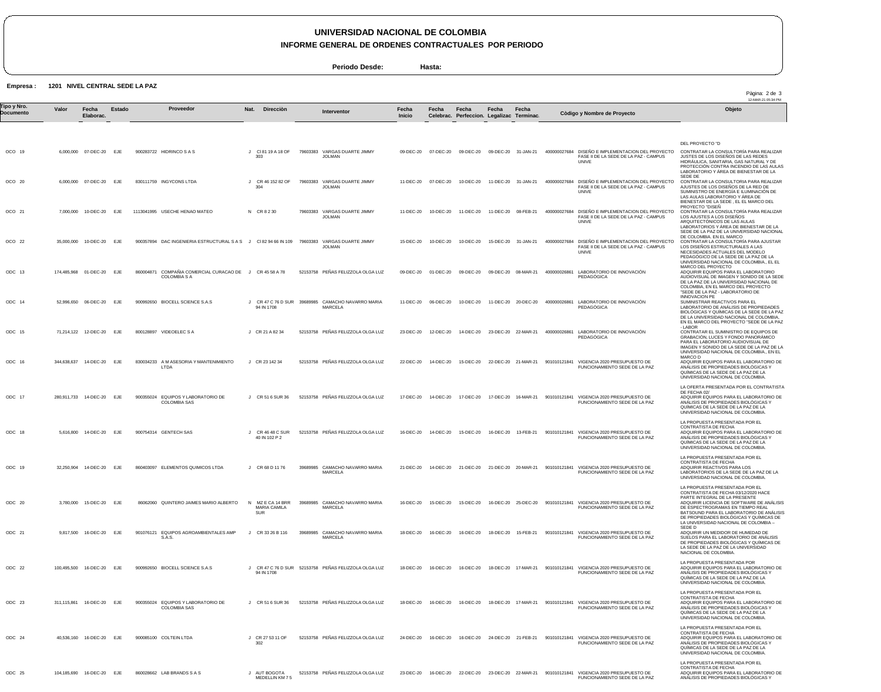## **UNIVERSIDAD NACIONAL DE COLOMBIA**

**INFORME GENERAL DE ORDENES CONTRACTUALES POR PERIODO**

**Periodo Desde: Hasta:**

**Empresa : 1201 NIVEL CENTRAL SEDE LA PAZ**

ODC 25

104,185,690 16-DEC-20 EJE 860028662 LAB BRANDS S A S

|                          |             |                             |            |           |                                                                      |                                              |          |                                                    |                        |           |                                                    |           |                      |              |                                                                                                            | Pàgina: 2 de 3<br>12-MAR-21 05:34 PM                                                                                                                                                                                                                                            |
|--------------------------|-------------|-----------------------------|------------|-----------|----------------------------------------------------------------------|----------------------------------------------|----------|----------------------------------------------------|------------------------|-----------|----------------------------------------------------|-----------|----------------------|--------------|------------------------------------------------------------------------------------------------------------|---------------------------------------------------------------------------------------------------------------------------------------------------------------------------------------------------------------------------------------------------------------------------------|
| Tipo y Nro.<br>Documento | Valor       | Fecha<br>Elaborac.          | Estado     |           | Proveedor                                                            | Direcciòn<br>Nat.                            |          | <b>Interventor</b>                                 | Fecha<br><b>Inicio</b> | Fecha     | Fecha<br>Celebrac. Perfeccion. Legalizac Terminac. | Fecha     | Fecha                |              | Còdigo y Nombre de Proyecto                                                                                | Objeto                                                                                                                                                                                                                                                                          |
| OCO 19                   |             | 6,000,000 07-DEC-20         | EJE        |           | 900283722 HIDRINCO S A S                                             | CI 81 19 A 18 OF<br>303                      | 79603383 | VARGAS DUARTE JIMMY<br><b>JOLMAN</b>               | 09-DEC-20              | 07-DEC-20 | 09-DEC-20                                          |           | 09-DEC-20 31-JAN-21  |              | 400000027684 DISEÑO E IMPLEMENTACION DEL PROYECTO<br>FASE II DE LA SEDE DE LA PAZ - CAMPUS<br>UNIVE        | DEL PROYECTO "D<br>CONTRATAR LA CONSULTORÍA PARA REALIZAR<br>JUSTES DE LOS DISEÑOS DE LAS REDES<br>HIDRÁULICA, SANITARIA, GAS NATURAL Y DE<br>PROTECCIÓN CONTRA INCENDIO DE LAS AULAS<br>LABORATORIO Y ÁREA DE BIENESTAR DE LA                                                  |
| OCO 20                   |             | 6,000,000 07-DEC-20         | <b>EJE</b> |           | 830111759 INGYCONS LTDA                                              | CR 46 152 82 OF<br>304                       | 79603383 | VARGAS DUARTE JIMMY<br><b>JOLMAN</b>               | 11-DEC-20              | 07-DEC-20 | 10-DEC-20                                          |           | 11-DEC-20 31-JAN-21  |              | 400000027684 DISEÑO E IMPLEMENTACION DEL PROYECTO<br>FASE II DE LA SEDE DE LA PAZ - CAMPUS<br>UNIVE        | SEDE DE<br>CONTRATAR LA CONSULTORIA PARA REALIZAR<br>AJUSTES DE LOS DISENOS DE LA RED DE<br>SUMINISTRO DE ENERGÍA E ILUMINACIÓN DE<br>LAS AULAS LABORATORIO Y ÁREA DE                                                                                                           |
| OCO 21                   |             | 7,000,000 10-DEC-20         | EJE        |           | 1113041995 USECHE HENAO MATEO                                        | N CR 8 2 30                                  |          | 79603383 VARGAS DUARTE JIMMY<br><b>JOLMAN</b>      | 11-DEC-20              | 10-DEC-20 | 11-DEC-20                                          | 11-DEC-20 | 08-FEB-21            |              | 400000027684 DISEÑO E IMPLEMENTACION DEL PROYECTO<br>FASE II DE LA SEDE DE LA PAZ - CAMPUS<br>UNIVE        | BIENESTAR DE LA SEDE, EL EL MARCO DEL<br>PROYECTO "DISEN<br>CONTRATAR LA CONSULTORÍA PARA REALIZAR<br>LOS AJUSTES A LOS DISEÑOS<br>ARQUITECTÓNICOS DE LAS AULAS<br>LABORATORIOS Y ÁREA DE BIENESTAR DE LA                                                                       |
| OCO 22                   |             | 35,000,000 10-DEC-20 EJE    |            |           | 900357894 DAC INGENIERIA ESTRUCTURAL S A S J CI 82 94 66 IN 109      |                                              | 79603383 | VARGAS DUARTE JIMMY<br><b>JOLMAN</b>               | 15-DEC-20              | 10-DEC-20 | 10-DEC-20                                          |           | 15-DEC-20 31-JAN-21  |              | 400000027684 DISEÑO E IMPLEMENTACION DEL PROYECTO<br>FASE II DE LA SEDE DE LA PAZ - CAMPUS<br><b>UNIVE</b> | SEDE DE LA PAZ DE LA UNIVERSIDAD NACIONAL<br>DE COLOMBIA. EN EL MARCO<br>CONTRATAR LA CONSULTORÍA PARA AJUSTAR<br>LOS DISEÑOS ESTRUCTURALES A LAS<br>NECESIDADES ACTUALES DEL MODELO<br>PEDAGÓGICO DE LA SEDE DE LA PAZ DE LA                                                   |
| ODC 13                   |             | 174,485,968 01-DEC-20       | EJE        | 860004871 | COMPAÑIA COMERCIAL CURACAO DE J CR 45 58 A 78<br><b>COLOMBIA S A</b> |                                              |          | 52153758 PEÑAS FELIZZOLA OLGA LUZ                  | 09-DEC-20              | 01-DEC-20 | 09-DEC-20                                          | 09-DEC-20 | 08-MAR-21            | 400000026861 | LABORATORIO DE INNOVACIÓN<br><b>PEDAGOGICA</b>                                                             | UNIVERSIDAD NACIONAL DE COLOMBIA., EL EL<br>MARCO DEL PROYECTO<br>ADQUIRIR EQUIPOS PARA EL LABORATORIO<br>AUDIOVISUAL DE IMAGEN Y SONIDO DE LA SEDE<br>DE LA PAZ DE LA UNIVERSIDAD NACIONAL DE<br>COLOMBIA, EN EL MARCO DEL PROYECTO                                            |
| ODC 14                   |             | 52,996,650 06-DEC-20        | EJE        |           | 900992650 BIOCELL SCIENCE S.A.S                                      | CR 47 C 76 D SUR<br>94 IN 1708               |          | 39689985 CAMACHO NAVARRO MARIA<br><b>MARCELA</b>   | 11-DEC-20              | 06-DEC-20 | 10-DEC-20                                          |           | 11-DEC-20 20-DEC-20  | 400000026861 | LABORATORIO DE INNOVACIÓN<br><b>PEDAGOGICA</b>                                                             | "SEDE DE LA PAZ - LABORATORIO DE<br><b>INNOVACION PE</b><br>SUMINISTRAR REACTIVOS PARA EL<br>LABORATORIO DE ANÁLISIS DE PROPIEDADES<br>BIOLÓGICAS Y QUÍMICAS DE LA SEDE DE LA PAZ<br>DE LA UNIVERSIDAD NACIONAL DE COLOMBIA.                                                    |
| ODC 15                   |             | 71,214,122 12-DEC-20 EJE    |            |           | 800128897 VIDEOELEC S A                                              | J CR 21 A 82 34                              |          | 52153758 PEÑAS FELIZZOLA OLGA LUZ                  | 23-DEC-20              | 12-DEC-20 | 14-DEC-20                                          |           | 23-DEC-20 22-MAR-21  | 400000026861 | LABORATORIO DE INNOVACIÓN<br><b>PEDAGÓGICA</b>                                                             | EN EL MARCO DEL PROYECTO "SEDE DE LA PAZ<br>- LABOR<br>CONTRATAR EL SUMINISTRO DE EQUIPOS DE<br>GRABACIÓN, LUCES Y FONDO PANORÁMICO<br>PARA EL LABORATORIO AUDIOVISUAL DE<br>IMAGEN Y SONIDO DE LA SEDE DE LA PAZ DE LA                                                         |
| ODC 16                   | 344,638,637 | 14-DEC-20                   | EJE        |           | 830034233 A M ASESORIA Y MANTENIMIENTO<br>LTDA                       | J CR 23 142 34                               |          | 52153758 PEÑAS FELIZZOLA OLGA LUZ                  | 22-DEC-20              | 14-DEC-20 | 15-DEC-20                                          |           | 22-DEC-20 21-MAR-21  |              | 901010121841 VIGENCIA 2020 PRESUPUESTO DE<br>FUNCIONAMIENTO SEDE DE LA PAZ                                 | UNIVERSIDAD NACIONAL DE COLOMBIA., EN EL<br>MARCO D<br>ADQUIRIR EQUIPOS PARA EL LABORATORIO DE<br>ANÁLISIS DE PROPIEDADES BIOLÓGICAS Y<br>QUÍMICAS DE LA SEDE DE LA PAZ DE LA<br>UNIVERSIDAD NACIONAL DE COLOMBIA.                                                              |
| ODC 17                   |             | 280,911,733  14-DEC-20  EJE |            |           | 900355024 EQUIPOS Y LABORATORIO DE<br><b>COLOMBIA SAS</b>            | J CR 51 6 SUR 36                             |          | 52153758 PEÑAS FELIZZOLA OLGA LUZ                  | 17-DEC-20              | 14-DEC-20 | 17-DEC-20                                          |           | 17-DEC-20  16-MAR-21 |              | 901010121841 VIGENCIA 2020 PRESUPUESTO DE<br>FUNCIONAMIENTO SEDE DE LA PAZ                                 | LA OFERTA PRESENTADA POR EL CONTRATISTA<br>DE FECHA 02/<br>ADQUIRIR EQUIPOS PARA EL LABORATORIO DE<br>ANÁLISIS DE PROPIEDADES BIOLÓGICAS Y<br>QUÍMICAS DE LA SEDE DE LA PAZ DE LA<br>UNIVERSIDAD NACIONAL DE COLOMBIA.                                                          |
| ODC 18                   |             | 5,616,800 14-DEC-20         | EJE        |           | 900754314 GENTECH SAS                                                | J CR 46 48 C SUR<br>40 IN 102 P 2            |          | 52153758 PEÑAS FELIZZOLA OLGA LUZ                  | 16-DEC-20              | 14-DEC-20 | 15-DEC-20                                          | 16-DEC-20 | 13-FEB-21            |              | 901010121841 VIGENCIA 2020 PRESUPUESTO DE<br>FUNCIONAMIENTO SEDE DE LA PAZ                                 | LA PROPUESTA PRESENTADA POR EL<br>CONTRATISTA DE FECHA<br>ADQUIRIR EQUIPOS PARA EL LABORATORIO DE<br>ANALISIS DE PROPIEDADES BIOLOGICAS Y<br>QUÍMICAS DE LA SEDE DE LA PAZ DE LA<br>UNIVERSIDAD NACIONAL DE COLOMBIA                                                            |
| ODC 19                   |             | 32,250,904 14-DEC-20 EJE    |            |           | 860403097 ELEMENTOS QUIMICOS LTDA                                    | J CR 68 D 11 76                              |          | 39689985 CAMACHO NAVARRO MARIA<br><b>MARCELA</b>   | 21-DEC-20              | 14-DEC-20 | 21-DEC-20                                          |           | 21-DEC-20 20-MAR-21  |              | 901010121841 VIGENCIA 2020 PRESUPUESTO DE<br>FUNCIONAMIENTO SEDE DE LA PAZ                                 | LA PROPUESTA PRESENTADA POR EL<br>CONTRATISTA DE FECHA<br>ADQUIRIR REACTIVOS PARA LOS<br>LABORATORIOS DE LA SEDE DE LA PAZ DE LA<br>UNIVERSIDAD NACIONAL DE COLOMBIA.                                                                                                           |
| ODC 20                   |             | 3.780.000 15-DEC-20 EJE     |            |           | 86062060 QUINTERO JAIMES MARIO ALBERTO                               | N MZECA 14 BRR<br>MARIA CAMILA<br><b>SUR</b> |          | 39689985 CAMACHO NAVARRO MARIA<br>MARCELA          | 16-DEC-20              | 15-DEC-20 | 15-DEC-20                                          |           | 16-DEC-20 25-DEC-20  |              | 901010121841 VIGENCIA 2020 PRESUPUESTO DE<br>FUNCIONAMIENTO SEDE DE LA PAZ                                 | LA PROPUESTA PRESENTADA POR EL<br>CONTRATISTA DE FECHA 03/12/2020 HACE<br>PARTE INTEGRAL DE LA PRESENTE<br>ADQUIRIR LICENCIA DE SOFTWARE DE ANÁLISIS<br>DE ESPECTROGRAMAS EN TIEMPO REAL<br>BATSOUND PARA EL LABORATORIO DE ANÁLISIS<br>DE PROPIEDADES BIOLÓGICAS Y QUÍMICAS DE |
| ODC 21                   |             | 9,817,500 16-DEC-20 EJE     |            |           | 901076121 EQUIPOS AGROAMBIENTALES AMP<br>S.A.S.                      | CR 33 26 B 116<br>$\cdot$                    |          | 39689985 CAMACHO NAVARRO MARIA<br><b>MARCELA</b>   | 18-DEC-20              | 16-DEC-20 | 16-DEC-20                                          | 18-DEC-20 | 15-FEB-21            |              | 901010121841 VIGENCIA 2020 PRESUPUESTO DE<br>FUNCIONAMIENTO SEDE DE LA PAZ                                 | LA UNIVERSIDAD NACIONAL DE COLOMBIA -<br>SEDE D<br>ADQUIRIR UN MEDIDOR DE HUMEDAD DE<br>SUELOS PARA EL LABORATORIO DE ANÁLISIS<br>DE PROPIEDADES BIOLÓGICAS Y QUÍMICAS DE<br>LA SEDE DE LA PAZ DE LA UNIVERSIDAD<br>NACIONAL DE COLOMBIA.                                       |
| ODC 22                   |             | 100,495,500 16-DEC-20 EJE   |            |           | 900992650 BIOCELL SCIENCE S.A.S                                      | 94 IN 1708                                   |          | CR 47 C 76 D SUR 52153758 PEÑAS FELIZZOLA OLGA LUZ | 18-DEC-20              | 16-DEC-20 | 16-DEC-20                                          |           | 18-DEC-20 17-MAR-21  |              | 901010121841 VIGENCIA 2020 PRESUPUESTO DE<br>FUNCIONAMIENTO SEDE DE LA PAZ                                 | LA PROPUESTA PRESENTADA POR<br>ADQUIRIR EQUIPOS PARA EL LABORATORIO DE<br>ANÁLISIS DE PROPIEDADES BIOLÓGICAS Y<br>QUÍMICAS DE LA SEDE DE LA PAZ DE LA<br>UNIVERSIDAD NACIONAL DE COLOMBIA.                                                                                      |
| ODC 23                   |             | 311,115,861 16-DEC-20 EJE   |            |           | 900355024 EQUIPOS Y LABORATORIO DE<br><b>COLOMBIA SAS</b>            | J CR 51 6 SUR 36                             |          | 52153758 PEÑAS FELIZZOLA OLGA LUZ                  | 18-DEC-20              | 16-DEC-20 | 16-DEC-20                                          |           |                      |              | 18-DEC-20  17-MAR-21  901010121841  VIGENCIA  2020  PRESUPUESTO DE<br>FUNCIONAMIENTO SEDE DE LA PAZ        | LA PROPUESTA PRESENTADA POR EL<br>CONTRATISTA DE FECHA<br>ADQUIRIR EQUIPOS PARA EL LABORATORIO DE<br>ANÁLISIS DE PROPIEDADES BIOLÓGICAS Y<br>QUIMICAS DE LA SEDE DE LA PAZ DE LA<br>UNIVERSIDAD NACIONAL DE COLOMBIA.                                                           |
| ODC 24                   |             | 40,536,160 16-DEC-20 EJE    |            |           | 900085100 COLTEIN LTDA                                               | CR 27 53 11 OF<br>302                        |          | 52153758 PEÑAS FELIZZOLA OLGA LUZ                  | 24-DEC-20              | 16-DEC-20 | 16-DEC-20                                          |           | 24-DEC-20 21-FEB-21  |              | 901010121841 VIGENCIA 2020 PRESUPUESTO DE<br>FUNCIONAMIENTO SEDE DE LA PAZ                                 | LA PROPUESTA PRESENTADA POR EL<br>CONTRATISTA DE FECHA<br>ADQUIRIR EQUIPOS PARA EL LABORATORIO DE<br>ANALISIS DE PROPIEDADES BIOLOGICAS Y<br>QUIMICAS DE LA SEDE DE LA PAZ DE LA<br>UNIVERSIDAD NACIONAL DE COLOMBIA.                                                           |
|                          |             |                             |            |           |                                                                      |                                              |          |                                                    |                        |           |                                                    |           |                      |              |                                                                                                            | LA PROPUESTA PRESENTADA POR EL                                                                                                                                                                                                                                                  |

J AUT BOGOTA MEDELLIN KM 7 5 52153758 PEÑAS FELIZZOLA OLGA LUZ 23-DEC-20 16-DEC-20 22-DEC-20 23-DEC-20 22-MAR-21 901010121841 VIGENCIA 2020 PRESUPUESTO DE FUNCIONAMIENTO SEDE DE LA PAZ LA PROPUESTA PRESENTADA POR EL<br>CONTRATISTA DE FECHA<br>ADQUIRIR EQUIPOS PARA EL LABORATORIO DE<br>ANÁLISIS DE PROPIEDADES BIOLÓGICAS Y